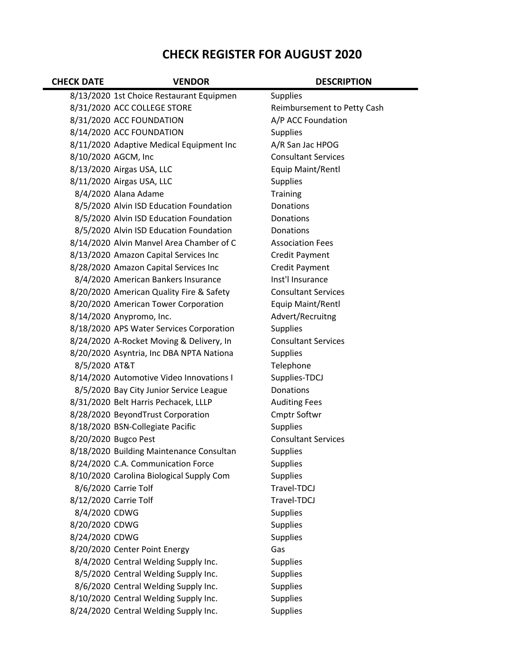## CHECK REGISTER FOR AUGUST 2020

| <b>CHECK DATE</b>     | <b>VENDOR</b>                            | <b>DESCRIPTION</b>          |
|-----------------------|------------------------------------------|-----------------------------|
|                       | 8/13/2020 1st Choice Restaurant Equipmen | <b>Supplies</b>             |
|                       | 8/31/2020 ACC COLLEGE STORE              | Reimbursement to Petty Cash |
|                       | 8/31/2020 ACC FOUNDATION                 | A/P ACC Foundation          |
|                       | 8/14/2020 ACC FOUNDATION                 | <b>Supplies</b>             |
|                       | 8/11/2020 Adaptive Medical Equipment Inc | A/R San Jac HPOG            |
|                       | 8/10/2020 AGCM, Inc                      | <b>Consultant Services</b>  |
|                       | 8/13/2020 Airgas USA, LLC                | Equip Maint/Rentl           |
|                       | 8/11/2020 Airgas USA, LLC                | <b>Supplies</b>             |
|                       | 8/4/2020 Alana Adame                     | Training                    |
|                       | 8/5/2020 Alvin ISD Education Foundation  | Donations                   |
|                       | 8/5/2020 Alvin ISD Education Foundation  | Donations                   |
|                       | 8/5/2020 Alvin ISD Education Foundation  | Donations                   |
|                       | 8/14/2020 Alvin Manvel Area Chamber of C | <b>Association Fees</b>     |
|                       | 8/13/2020 Amazon Capital Services Inc    | Credit Payment              |
|                       | 8/28/2020 Amazon Capital Services Inc    | <b>Credit Payment</b>       |
|                       | 8/4/2020 American Bankers Insurance      | Inst'l Insurance            |
|                       | 8/20/2020 American Quality Fire & Safety | <b>Consultant Services</b>  |
|                       | 8/20/2020 American Tower Corporation     | Equip Maint/Rentl           |
|                       | 8/14/2020 Anypromo, Inc.                 | Advert/Recruitng            |
|                       | 8/18/2020 APS Water Services Corporation | <b>Supplies</b>             |
|                       | 8/24/2020 A-Rocket Moving & Delivery, In | <b>Consultant Services</b>  |
|                       | 8/20/2020 Asyntria, Inc DBA NPTA Nationa | <b>Supplies</b>             |
| 8/5/2020 AT&T         |                                          | Telephone                   |
|                       | 8/14/2020 Automotive Video Innovations I | Supplies-TDCJ               |
|                       | 8/5/2020 Bay City Junior Service League  | Donations                   |
|                       | 8/31/2020 Belt Harris Pechacek, LLLP     | <b>Auditing Fees</b>        |
|                       | 8/28/2020 BeyondTrust Corporation        | <b>Cmptr Softwr</b>         |
|                       | 8/18/2020 BSN-Collegiate Pacific         | <b>Supplies</b>             |
|                       | 8/20/2020 Bugco Pest                     | <b>Consultant Services</b>  |
|                       | 8/18/2020 Building Maintenance Consultan | <b>Supplies</b>             |
|                       | 8/24/2020 C.A. Communication Force       | <b>Supplies</b>             |
|                       | 8/10/2020 Carolina Biological Supply Com | <b>Supplies</b>             |
|                       | 8/6/2020 Carrie Tolf                     | Travel-TDCJ                 |
| 8/12/2020 Carrie Tolf |                                          | Travel-TDCJ                 |
| 8/4/2020 CDWG         |                                          | <b>Supplies</b>             |
| 8/20/2020 CDWG        |                                          | <b>Supplies</b>             |
| 8/24/2020 CDWG        |                                          | <b>Supplies</b>             |
|                       | 8/20/2020 Center Point Energy            | Gas                         |
|                       | 8/4/2020 Central Welding Supply Inc.     | <b>Supplies</b>             |
|                       | 8/5/2020 Central Welding Supply Inc.     | <b>Supplies</b>             |
|                       | 8/6/2020 Central Welding Supply Inc.     | <b>Supplies</b>             |
|                       | 8/10/2020 Central Welding Supply Inc.    | <b>Supplies</b>             |
|                       | 8/24/2020 Central Welding Supply Inc.    | <b>Supplies</b>             |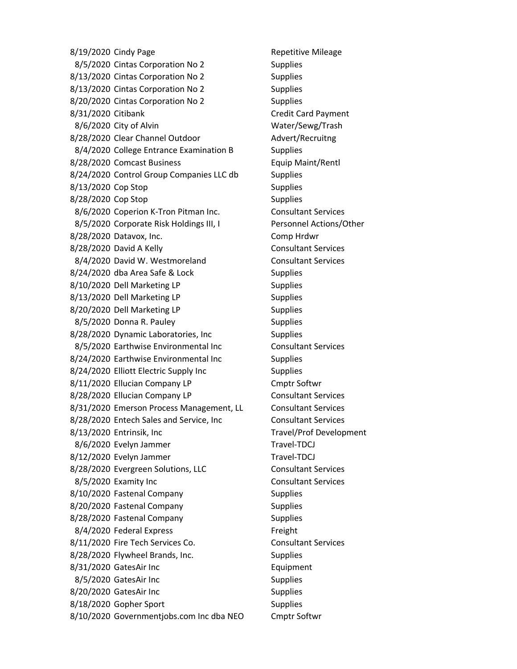8/19/2020 Cindy Page Repetitive Mileage 8/5/2020 Cintas Corporation No 2 Supplies 8/13/2020 Cintas Corporation No 2 Supplies 8/13/2020 Cintas Corporation No 2 Supplies 8/20/2020 Cintas Corporation No 2 Supplies 8/31/2020 Citibank Credit Card Payment 8/6/2020 City of Alvin Water/Sewg/Trash 8/28/2020 Clear Channel Outdoor Advert/Recruitng 8/4/2020 College Entrance Examination B Supplies 8/28/2020 Comcast Business Equip Maint/Rentl 8/24/2020 Control Group Companies LLC db Supplies 8/13/2020 Cop Stop Supplies 8/28/2020 Cop Stop Supplies 8/6/2020 Coperion K-Tron Pitman Inc. Consultant Services 8/5/2020 Corporate Risk Holdings III, I Personnel Actions/Other 8/28/2020 Datavox, Inc. Comp Hrdwr 8/28/2020 David A Kelly Consultant Services 8/4/2020 David W. Westmoreland Consultant Services 8/24/2020 dba Area Safe & Lock Supplies 8/10/2020 Dell Marketing LP Supplies 8/13/2020 Dell Marketing LP Supplies 8/20/2020 Dell Marketing LP Supplies 8/5/2020 Donna R. Pauley Supplies 8/28/2020 Dynamic Laboratories, Inc Supplies 8/5/2020 Earthwise Environmental Inc Consultant Services 8/24/2020 Earthwise Environmental Inc Supplies 8/24/2020 Elliott Electric Supply Inc Supplies 8/11/2020 Ellucian Company LP Cmptr Softwr 8/28/2020 Ellucian Company LP Consultant Services 8/31/2020 Emerson Process Management, LL Consultant Services 8/28/2020 Entech Sales and Service, Inc Consultant Services 8/13/2020 Entrinsik, Inc Travel/Prof Development 8/6/2020 Evelyn Jammer Travel-TDCJ 8/12/2020 Evelyn Jammer Travel-TDCJ 8/28/2020 Evergreen Solutions, LLC Consultant Services 8/5/2020 Examity Inc Consultant Services 8/10/2020 Fastenal Company Supplies 8/20/2020 Fastenal Company Supplies 8/28/2020 Fastenal Company Supplies 8/4/2020 Federal Express Freight 8/11/2020 Fire Tech Services Co. Consultant Services 8/28/2020 Flywheel Brands, Inc. Supplies 8/31/2020 GatesAir Inc **Equipment** 8/5/2020 GatesAir Inc Supplies 8/20/2020 GatesAir Inc Supplies 8/18/2020 Gopher Sport Supplies 8/10/2020 Governmentjobs.com Inc dba NEO Cmptr Softwr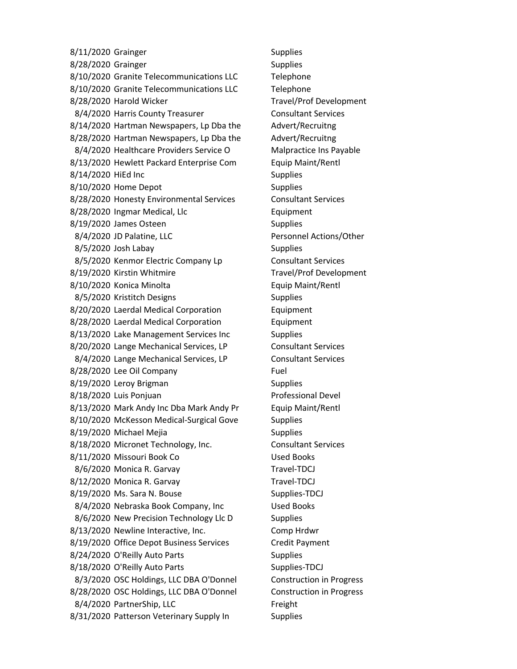8/11/2020 Grainger Supplies 8/28/2020 Grainger Supplies 8/10/2020 Granite Telecommunications LLC Telephone 8/10/2020 Granite Telecommunications LLC Telephone 8/28/2020 Harold Wicker Travel/Prof Development 8/4/2020 Harris County Treasurer Consultant Services 8/14/2020 Hartman Newspapers, Lp Dba the Advert/Recruitng 8/28/2020 Hartman Newspapers, Lp Dba the Advert/Recruitng 8/4/2020 Healthcare Providers Service O Malpractice Ins Payable 8/13/2020 Hewlett Packard Enterprise Com Equip Maint/Rentl 8/14/2020 HiEd Inc Supplies 8/10/2020 Home Depot Supplies 8/28/2020 Honesty Environmental Services Consultant Services 8/28/2020 Ingmar Medical, Llc **Equipment** 8/19/2020 James Osteen Supplies 8/4/2020 JD Palatine, LLC Personnel Actions/Other 8/5/2020 Josh Labay Supplies 8/5/2020 Kenmor Electric Company Lp Consultant Services 8/19/2020 Kirstin Whitmire Travel/Prof Development 8/10/2020 Konica Minolta **Equip Maint/Rentl** 8/5/2020 Kristitch Designs Supplies 8/20/2020 Laerdal Medical Corporation Equipment 8/28/2020 Laerdal Medical Corporation Equipment 8/13/2020 Lake Management Services Inc Supplies 8/20/2020 Lange Mechanical Services, LP Consultant Services 8/4/2020 Lange Mechanical Services, LP Consultant Services 8/28/2020 Lee Oil Company Fuel 8/19/2020 Leroy Brigman Supplies 8/18/2020 Luis Ponjuan **Professional Devel** 8/13/2020 Mark Andy Inc Dba Mark Andy Pr Equip Maint/Rentl 8/10/2020 McKesson Medical-Surgical Gove Supplies 8/19/2020 Michael Mejia Supplies 8/18/2020 Micronet Technology, Inc. Consultant Services 8/11/2020 Missouri Book Co Used Books 8/6/2020 Monica R. Garvay Travel-TDCJ 8/12/2020 Monica R. Garvay Travel-TDCJ 8/19/2020 Ms. Sara N. Bouse Supplies-TDCJ 8/4/2020 Nebraska Book Company, Inc Used Books 8/6/2020 New Precision Technology Llc D Supplies 8/13/2020 Newline Interactive, Inc. Comp Hrdwr 8/19/2020 Office Depot Business Services Credit Payment 8/24/2020 O'Reilly Auto Parts Supplies 8/18/2020 O'Reilly Auto Parts Supplies-TDCJ 8/3/2020 OSC Holdings, LLC DBA O'Donnel Construction in Progress 8/28/2020 OSC Holdings, LLC DBA O'Donnel Construction in Progress 8/4/2020 PartnerShip, LLC Freight 8/31/2020 Patterson Veterinary Supply In Supplies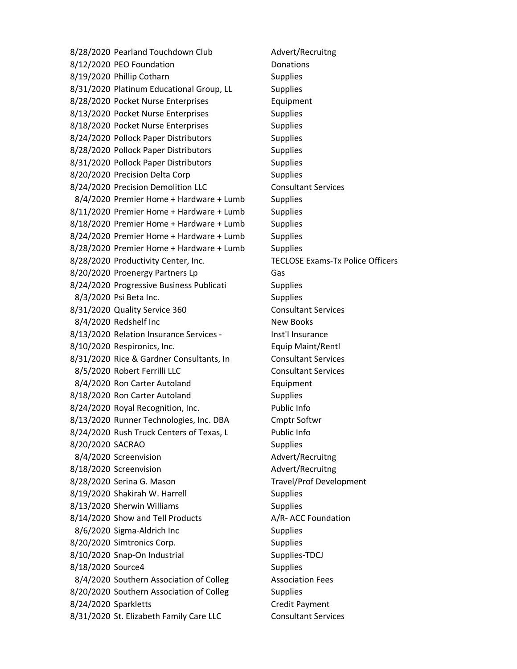8/28/2020 Pearland Touchdown Club Advert/Recruitng 8/12/2020 PEO Foundation Donations 8/19/2020 Phillip Cotharn Supplies 8/31/2020 Platinum Educational Group, LL Supplies 8/28/2020 Pocket Nurse Enterprises Full and Equipment 8/13/2020 Pocket Nurse Enterprises Supplies 8/18/2020 Pocket Nurse Enterprises Supplies 8/24/2020 Pollock Paper Distributors Supplies 8/28/2020 Pollock Paper Distributors Supplies 8/31/2020 Pollock Paper Distributors Supplies 8/20/2020 Precision Delta Corp Supplies 8/24/2020 Precision Demolition LLC Consultant Services 8/4/2020 Premier Home + Hardware + Lumb Supplies 8/11/2020 Premier Home + Hardware + Lumb Supplies 8/18/2020 Premier Home + Hardware + Lumb Supplies 8/24/2020 Premier Home + Hardware + Lumb Supplies 8/28/2020 Premier Home + Hardware + Lumb Supplies 8/28/2020 Productivity Center, Inc. TECLOSE Exams-Tx Police Officers 8/20/2020 Proenergy Partners Lp Gas 8/24/2020 Progressive Business Publicati Supplies 8/3/2020 Psi Beta Inc. Supplies 8/31/2020 Quality Service 360 Consultant Services 8/4/2020 Redshelf Inc New Books 8/13/2020 Relation Insurance Services - Inst'l Insurance 8/10/2020 Respironics, Inc. Equip Maint/Rentl 8/31/2020 Rice & Gardner Consultants, In Consultant Services 8/5/2020 Robert Ferrilli LLC Consultant Services 8/4/2020 Ron Carter Autoland Equipment 8/18/2020 Ron Carter Autoland Supplies 8/24/2020 Royal Recognition, Inc. Public Info 8/13/2020 Runner Technologies, Inc. DBA Cmptr Softwr 8/24/2020 Rush Truck Centers of Texas, L Public Info 8/20/2020 SACRAO Supplies 8/4/2020 Screenvision and advert/Recruitng 8/18/2020 Screenvision and Advert/Recruitng 8/28/2020 Serina G. Mason Travel/Prof Development 8/19/2020 Shakirah W. Harrell Supplies 8/13/2020 Sherwin Williams Supplies 8/14/2020 Show and Tell Products A/R- ACC Foundation 8/6/2020 Sigma-Aldrich Inc Supplies 8/20/2020 Simtronics Corp. Supplies 8/10/2020 Snap-On Industrial Supplies-TDCJ 8/18/2020 Source4 Supplies 8/4/2020 Southern Association of Colleg Association Fees 8/20/2020 Southern Association of Colleg Supplies 8/24/2020 Sparkletts Credit Payment 8/31/2020 St. Elizabeth Family Care LLC Consultant Services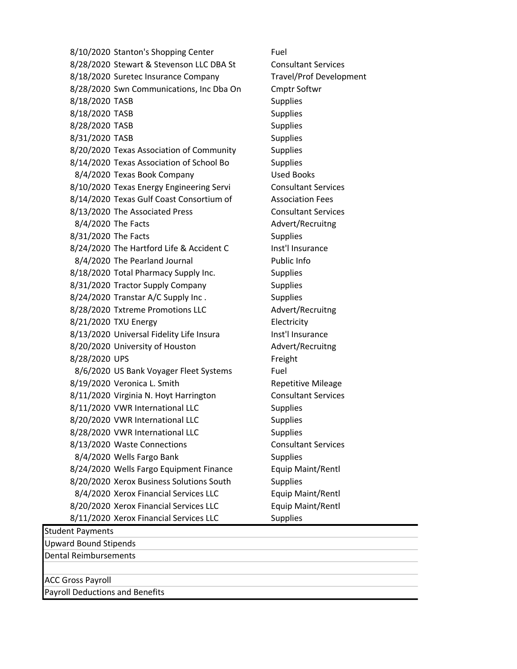8/10/2020 Stanton's Shopping Center Fuel 8/28/2020 Stewart & Stevenson LLC DBA St Consultant Services 8/18/2020 Suretec Insurance Company Travel/Prof Development 8/28/2020 Swn Communications, Inc Dba On Cmptr Softwr 8/18/2020 TASB Supplies 8/18/2020 TASB Supplies 8/28/2020 TASB Supplies 8/31/2020 TASB Supplies 8/20/2020 Texas Association of Community Supplies 8/14/2020 Texas Association of School Bo Supplies 8/4/2020 Texas Book Company Used Books 8/10/2020 Texas Energy Engineering Servi Consultant Services 8/14/2020 Texas Gulf Coast Consortium of Association Fees 8/13/2020 The Associated Press Consultant Services 8/4/2020 The Facts Advert/Recruitng 8/31/2020 The Facts Supplies 8/24/2020 The Hartford Life & Accident C Inst'l Insurance 8/4/2020 The Pearland Journal Public Info 8/18/2020 Total Pharmacy Supply Inc. Supplies 8/31/2020 Tractor Supply Company Supplies 8/24/2020 Transtar A/C Supply Inc. Supplies 8/28/2020 Txtreme Promotions LLC Advert/Recruitng 8/21/2020 TXU Energy Electricity 8/13/2020 Universal Fidelity Life Insura Inst'l Insurance 8/20/2020 University of Houston Advert/Recruitng 8/28/2020 UPS Freight 8/6/2020 US Bank Voyager Fleet Systems Fuel 8/19/2020 Veronica L. Smith Repetitive Mileage 8/11/2020 Virginia N. Hoyt Harrington Consultant Services 8/11/2020 VWR International LLC Supplies 8/20/2020 VWR International LLC Supplies 8/28/2020 VWR International LLC Supplies 8/13/2020 Waste Connections Consultant Services 8/4/2020 Wells Fargo Bank Supplies 8/24/2020 Wells Fargo Equipment Finance Equip Maint/Rentl 8/20/2020 Xerox Business Solutions South Supplies 8/4/2020 Xerox Financial Services LLC Equip Maint/Rentl 8/20/2020 Xerox Financial Services LLC Equip Maint/Rentl 8/11/2020 Xerox Financial Services LLC Supplies Student Payments

Upward Bound Stipends Dental Reimbursements

ACC Gross Payroll

Payroll Deductions and Benefits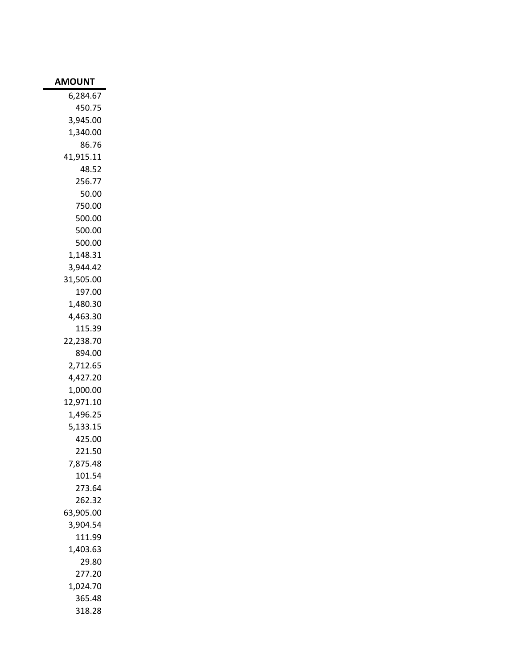| <b>AMOUNT</b> |
|---------------|
| 6,284.67      |
| 450.75        |
| 3,945.00      |
| 1,340.00      |
| 86.76         |
| 41,915.11     |
| 48.52         |
| 256.77        |
| 50.00         |
| 750.00        |
| 500.00        |
| 500.00        |
| 500.00        |
| 1,148.31      |
| 3,944.42      |
| 31,505.00     |
| 197.00        |
| 1,480.30      |
| 4,463.30      |
| 115.39        |
| 22,238.70     |
| 894.00        |
| 2,712.65      |
| 4,427.20      |
| 1,000.00      |
| 12,971.10     |
| 1,496.25      |
| 5,133.15      |
| 425.00        |
| 221.50        |
| 7,875.48      |
| 101.54        |
| 273.64        |
| 262.32        |
| 63,905.00     |
| 3,904.54      |
| 111.99        |
| 1,403.63      |
| 29.80         |
| 277.20        |
| 1,024.70      |
| 365.48        |
| 318.28        |
|               |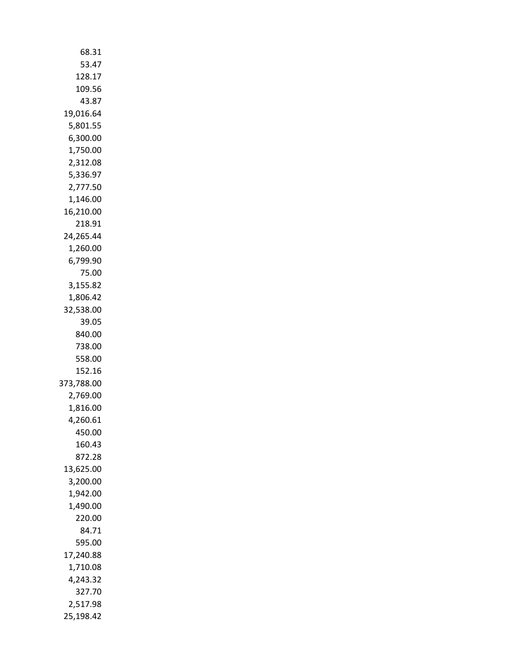| 68.31      |
|------------|
| 53.47      |
| 128.17     |
| 109.56     |
| 43.87      |
| 19,016.64  |
| 5,801.55   |
| 6,300.00   |
| 1,750.00   |
| 2,312.08   |
| 5,336.97   |
| 2,777.50   |
| 1,146.00   |
| 16,210.00  |
|            |
| 218.91     |
| 24,265.44  |
| 1,260.00   |
| 6,799.90   |
| 75.00      |
| 3,155.82   |
| 1,806.42   |
| 32,538.00  |
| 39.05      |
| 840.00     |
| 738.00     |
| 558.00     |
| 152.16     |
| 373,788.00 |
| 2,769.00   |
| 1,816.00   |
| 4,260.61   |
| 450.00     |
| 160.43     |
| 872.28     |
| 13,625.00  |
| 3,200.00   |
| 1,942.00   |
| 1,490.00   |
| 220.00     |
| 84.71      |
| 595.00     |
| 17,240.88  |
| 1,710.08   |
| 4,243.32   |
| 327.70     |
| 2,517.98   |
| 25,198.42  |
|            |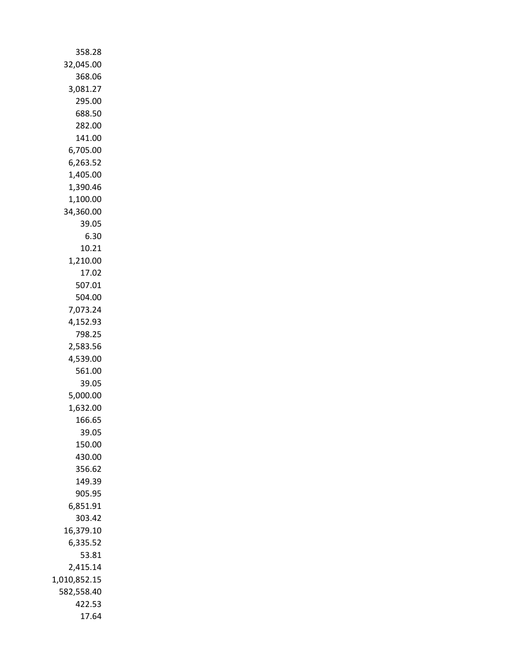| 358.28       |
|--------------|
| 32,045.00    |
|              |
| 368.06       |
| 3,081.27     |
| 295.00       |
|              |
| 688.50       |
| 282.00       |
| 141.00       |
|              |
| 6,705.00     |
| 6,263.52     |
|              |
| 1,405.00     |
| 1,390.46     |
| 1,100.00     |
|              |
| 34,360.00    |
| 39.05        |
| 6.30         |
|              |
| 10.21        |
| 1,210.00     |
| 17.02        |
|              |
| 507.01       |
| 504.00       |
| 7,073.24     |
|              |
| 4,152.93     |
| 798.25       |
| 2,583.56     |
|              |
| 4,539.00     |
| 561.00       |
| 39.05        |
|              |
| 5,000.00     |
| 1,632.00     |
| 166.65       |
|              |
| 39.05        |
| 150.00       |
| 430.00       |
|              |
| 356.62       |
| 149.39       |
| 905.95       |
|              |
| 6,851.91     |
| 303.42       |
| 16,379.10    |
|              |
| 6,335.52     |
| 53.81        |
| 2,415.14     |
|              |
| 1,010,852.15 |
| 582,558.40   |
| 422.53       |
|              |
| 17.64        |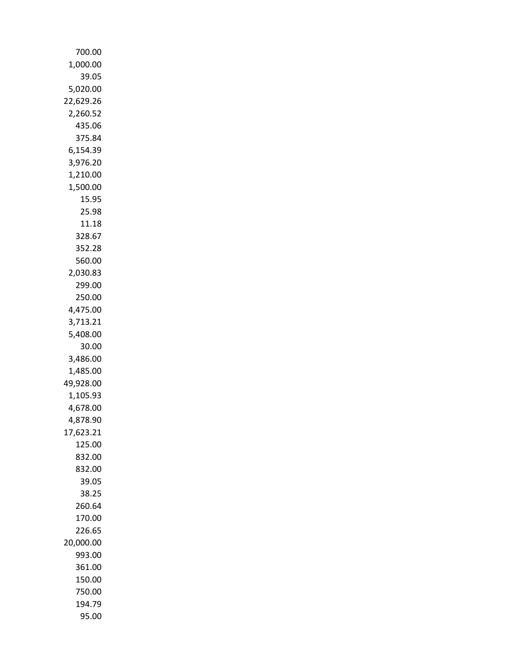| 700.00    |
|-----------|
| 1,000.00  |
| 39.05     |
| 5,020.00  |
| 22,629.26 |
| 2,260.52  |
| 435.06    |
| 375.84    |
|           |
| 6,154.39  |
| 3,976.20  |
| 1,210.00  |
| 1,500.00  |
| 15.95     |
| 25.98     |
| 11.18     |
| 328.67    |
| 352.28    |
| 560.00    |
| 2,030.83  |
| 299.00    |
| 250.00    |
| 4,475.00  |
| 3,713.21  |
| 5,408.00  |
| 30.00     |
| 3,486.00  |
| 1,485.00  |
| 49,928.00 |
| 1,105.93  |
| 4,678.00  |
| 4,878.90  |
| 17,623.21 |
| 125.00    |
| 832.00    |
| 832.00    |
| 39.05     |
| 38.25     |
| 260.64    |
| 170.00    |
| 226.65    |
| 20,000.00 |
| 993.00    |
| 361.00    |
| 150.00    |
| 750.00    |
| 194.79    |
| 95.00     |